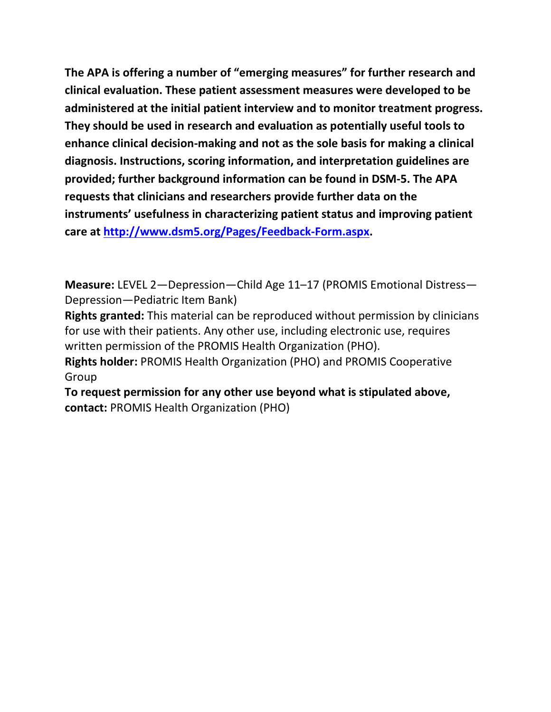**The APA is offering a number of "emerging measures" for further research and clinical evaluation. These patient assessment measures were developed to be administered at the initial patient interview and to monitor treatment progress. They should be used in research and evaluation as potentially useful tools to enhance clinical decision-making and not as the sole basis for making a clinical diagnosis. Instructions, scoring information, and interpretation guidelines are provided; further background information can be found in DSM-5. The APA requests that clinicians and researchers provide further data on the instruments' usefulness in characterizing patient status and improving patient care at [http://www.dsm5.org/Pages/Feedback-Form.aspx.](http://www.dsm5.org/Pages/Feedback-Form.aspx)**

**Measure:** LEVEL 2—Depression—Child Age 11–17 (PROMIS Emotional Distress— Depression—Pediatric Item Bank)

**Rights granted:** This material can be reproduced without permission by clinicians for use with their patients. Any other use, including electronic use, requires written permission of the PROMIS Health Organization (PHO).

**Rights holder:** PROMIS Health Organization (PHO) and PROMIS Cooperative Group

**To request permission for any other use beyond what is stipulated above, contact:** PROMIS Health Organization (PHO)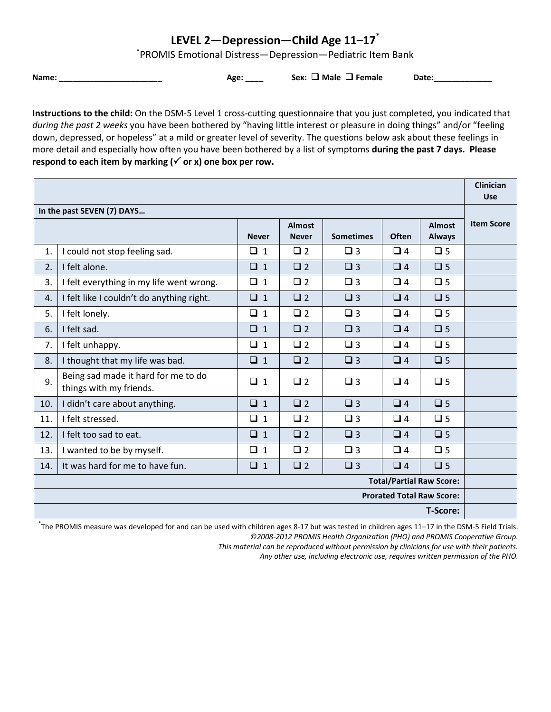## **LEVEL 2—Depression—Child Age 11–17\***

\* PROMIS Emotional Distress—Depression—Pediatric Item Bank

**Name: \_\_\_\_\_\_\_\_\_\_\_\_\_\_\_\_\_\_\_\_\_\_\_ Age: \_\_\_\_ Sex: Male Female Date:\_\_\_\_\_\_\_\_\_\_\_\_\_**

**Instructions to the child:** On the DSM-5 Level 1 cross-cutting questionnaire that you just completed, you indicated that *during the past 2 weeks* you have been bothered by "having little interest or pleasure in doing things" and/or "feeling down, depressed, or hopeless" at a mild or greater level of severity. The questions below ask about these feelings in more detail and especially how often you have been bothered by a list of symptoms **during the past 7 days. Please**  respond to each item by marking  $(\checkmark)$  or x) one box per row.

|                                  |                                                                |              |                               |                  |              |                                | <b>Clinician</b><br><b>Use</b> |
|----------------------------------|----------------------------------------------------------------|--------------|-------------------------------|------------------|--------------|--------------------------------|--------------------------------|
| In the past SEVEN (7) DAYS       |                                                                |              |                               |                  |              |                                |                                |
|                                  |                                                                | <b>Never</b> | <b>Almost</b><br><b>Never</b> | <b>Sometimes</b> | <b>Often</b> | <b>Almost</b><br><b>Always</b> | <b>Item Score</b>              |
| 1.                               | I could not stop feeling sad.                                  | $\Box$ 1     | $\Box$ 2                      | $\Box$ 3         | $\Box$ 4     | $\Box$ 5                       |                                |
| 2.                               | I felt alone.                                                  | $\Box$ 1     | $\Box$ 2                      | $\Box$ 3         | $\Box$ 4     | $\Box$ 5                       |                                |
| 3.                               | I felt everything in my life went wrong.                       | $\Box$ 1     | $\Box$ 2                      | $\Box$ 3         | $\Box$ 4     | $\Box$ 5                       |                                |
| 4.                               | I felt like I couldn't do anything right.                      | $\Box$ 1     | $\Box$ 2                      | $\Box$ 3         | $\Box$ 4     | $\Box$ 5                       |                                |
| 5.                               | I felt lonely.                                                 | $\Box$ 1     | $\Box$ 2                      | $\Box$ 3         | $\Box$ 4     | $\Box$ 5                       |                                |
| 6.                               | I felt sad.                                                    | $\Box$ 1     | $\Box$ 2                      | $\Box$ 3         | $\Box$ 4     | $\square$ 5                    |                                |
| 7.                               | I felt unhappy.                                                | $\Box$ 1     | $\Box$ 2                      | $\Box$ 3         | $\Box$ 4     | $\Box$ 5                       |                                |
| 8.                               | I thought that my life was bad.                                | $\Box$ 1     | $\square$ 2                   | $\square$ 3      | $\Box$ 4     | $\square$ 5                    |                                |
| 9.                               | Being sad made it hard for me to do<br>things with my friends. | $\Box$ 1     | $\Box$ 2                      | $\Box$ 3         | $\Box$ 4     | $\Box$ 5                       |                                |
| 10.                              | I didn't care about anything.                                  | $\Box$ 1     | $\Box$ 2                      | $\Box$ 3         | $\Box$ 4     | $\Box$ 5                       |                                |
| 11.                              | I felt stressed.                                               | $\Box$ 1     | $\Box$ 2                      | $\Box$ 3         | $\Box$ 4     | $\Box$ 5                       |                                |
| 12.                              | I felt too sad to eat.                                         | $\Box$ 1     | $\Box$ 2                      | $\Box$ 3         | $\Box$ 4     | $\Box$ 5                       |                                |
| 13.                              | I wanted to be by myself.                                      | $\Box$ 1     | $\Box$ 2                      | $\Box$ 3         | $\Box$ 4     | $\Box$ 5                       |                                |
| 14.                              | It was hard for me to have fun.                                | $\Box$ 1     | $\Box$ 2                      | $\Box$ 3         | $\Box$ 4     | $\Box$ 5                       |                                |
| <b>Total/Partial Raw Score:</b>  |                                                                |              |                               |                  |              |                                |                                |
| <b>Prorated Total Raw Score:</b> |                                                                |              |                               |                  |              |                                |                                |
| <b>T-Score:</b>                  |                                                                |              |                               |                  |              |                                |                                |

\* The PROMIS measure was developed for and can be used with children ages 8-17 but was tested in children ages 11–17 in the DSM-5 Field Trials. *©2008-2012 PROMIS Health Organization (PHO) and PROMIS Cooperative Group.* 

*This material can be reproduced without permission by clinicians for use with their patients.*

*Any other use, including electronic use, requires written permission of the PHO.*